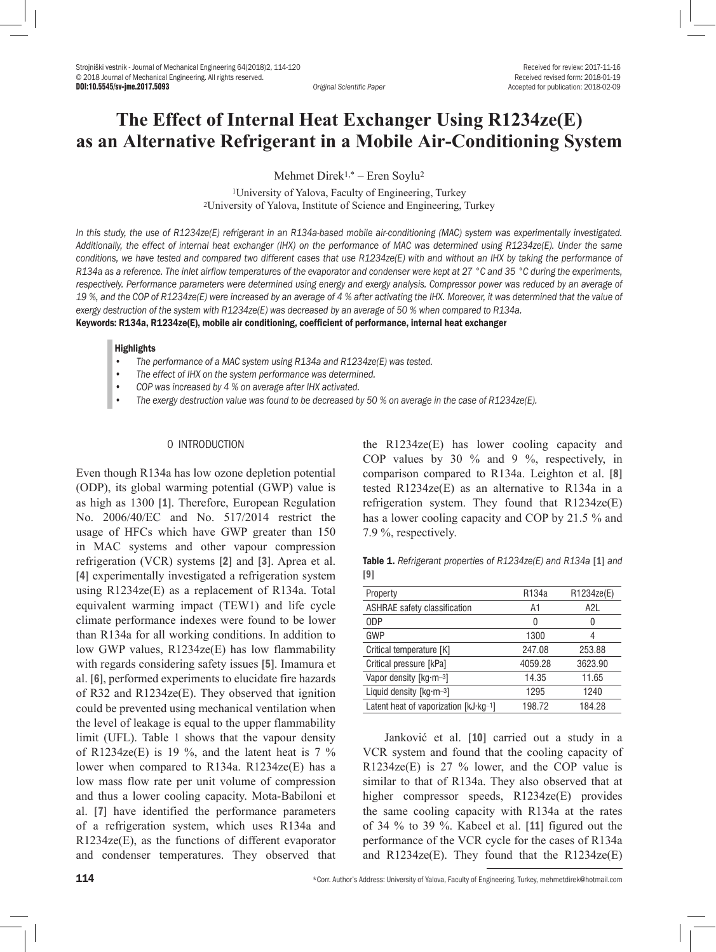DOI:10.5545/sv-jme.2017.5093 *Original Scientific Paper* Accepted for publication: 2018-02-09

# **The Effect of Internal Heat Exchanger Using R1234ze(E) as an Alternative Refrigerant in a Mobile Air-Conditioning System**

Mehmet Direk1,\* – Eren Soylu2

1University of Yalova, Faculty of Engineering, Turkey 2University of Yalova, Institute of Science and Engineering, Turkey

*In this study, the use of R1234ze(E) refrigerant in an R134a-based mobile air-conditioning (MAC) system was experimentally investigated. Additionally, the effect of internal heat exchanger (IHX) on the performance of MAC was determined using R1234ze(E). Under the same conditions, we have tested and compared two different cases that use R1234ze(E) with and without an IHX by taking the performance of R134a as a reference. The inlet airflow temperatures of the evaporator and condenser were kept at 27 °C and 35 °C during the experiments,*  respectively. Performance parameters were determined using energy and exergy analysis. Compressor power was reduced by an average of *19 %, and the COP of R1234ze(E) were increased by an average of 4 % after activating the IHX. Moreover, it was determined that the value of exergy destruction of the system with R1234ze(E) was decreased by an average of 50 % when compared to R134a.* Keywords: R134a, R1234ze(E), mobile air conditioning, coefficient of performance, internal heat exchanger

#### **Highlights**

- *• The performance of a MAC system using R134a and R1234ze(E) was tested.*
- *• The effect of IHX on the system performance was determined.*
- *• COP was increased by 4 % on average after IHX activated.*
- *• The exergy destruction value was found to be decreased by 50 % on average in the case of R1234ze(E).*

## 0 INTRODUCTION

Even though R134a has low ozone depletion potential (ODP), its global warming potential (GWP) value is as high as 1300 [1]. Therefore, European Regulation No. 2006/40/EC and No. 517/2014 restrict the usage of HFCs which have GWP greater than 150 in MAC systems and other vapour compression refrigeration (VCR) systems [2] and [3]. Aprea et al. [4] experimentally investigated a refrigeration system using R1234ze(E) as a replacement of R134a. Total equivalent warming impact (TEW1) and life cycle climate performance indexes were found to be lower than R134a for all working conditions. In addition to low GWP values, R1234ze(E) has low flammability with regards considering safety issues [5]. Imamura et al. [6], performed experiments to elucidate fire hazards of R32 and R1234ze(E). They observed that ignition could be prevented using mechanical ventilation when the level of leakage is equal to the upper flammability limit (UFL). Table 1 shows that the vapour density of R1234ze(E) is 19 %, and the latent heat is  $7 \frac{9}{6}$ lower when compared to R134a. R1234ze(E) has a low mass flow rate per unit volume of compression and thus a lower cooling capacity. Mota-Babiloni et al. [7] have identified the performance parameters of a refrigeration system, which uses R134a and R1234ze(E), as the functions of different evaporator and condenser temperatures. They observed that the R1234ze(E) has lower cooling capacity and COP values by 30 % and 9 %, respectively, in comparison compared to R134a. Leighton et al. [8] tested R1234ze(E) as an alternative to R134a in a refrigeration system. They found that R1234ze(E) has a lower cooling capacity and COP by 21.5 % and 7.9 %, respectively.

Table 1. *Refrigerant properties of R1234ze(E) and R134a* [1] *and*  [9]

| Property                              | R <sub>134</sub> a | R1234ze(E)      |
|---------------------------------------|--------------------|-----------------|
| ASHRAE safety classification          | A1                 | A <sub>2L</sub> |
| 0 <sub>DP</sub>                       | 0                  | 0               |
| GWP                                   | 1300               | 4               |
| Critical temperature [K]              | 247.08             | 253.88          |
| Critical pressure [kPa]               | 4059.28            | 3623.90         |
| Vapor density [kg·m-3]                | 14.35              | 11.65           |
| Liquid density $[kq\cdot m-3]$        | 1295               | 1240            |
| Latent heat of vaporization [kJ·kg-1] | 198.72             | 184.28          |

Janković et al. [10] carried out a study in a VCR system and found that the cooling capacity of  $R1234ze(E)$  is 27 % lower, and the COP value is similar to that of R134a. They also observed that at higher compressor speeds, R1234ze(E) provides the same cooling capacity with R134a at the rates of 34 % to 39 %. Kabeel et al. [11] figured out the performance of the VCR cycle for the cases of R134a and  $R1234ze(E)$ . They found that the  $R1234ze(E)$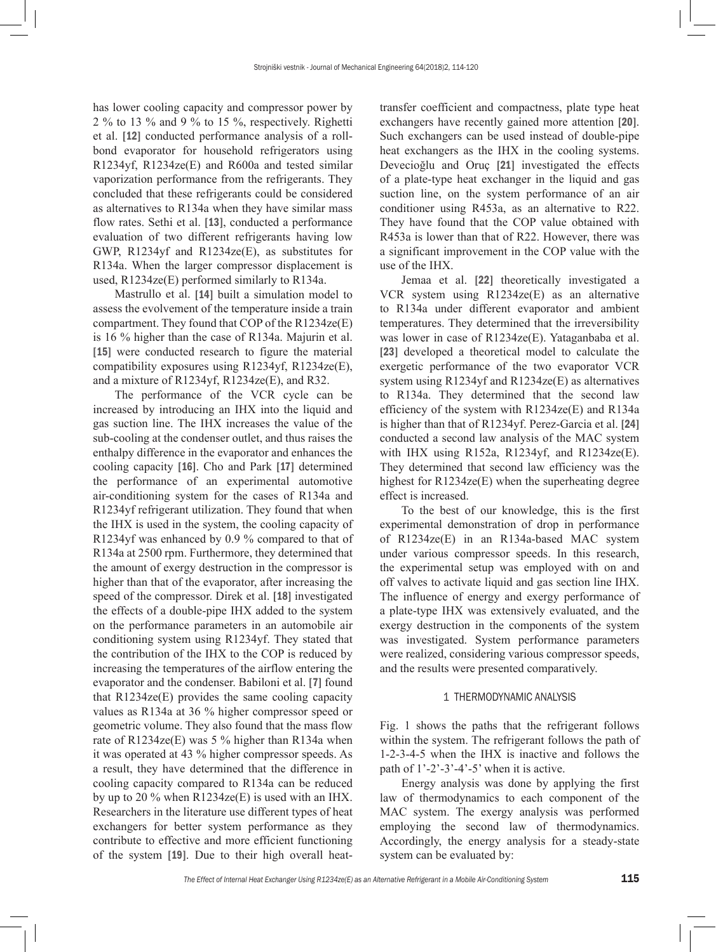has lower cooling capacity and compressor power by 2 % to 13 % and 9 % to 15 %, respectively. Righetti et al. [12] conducted performance analysis of a rollbond evaporator for household refrigerators using R1234yf, R1234ze(E) and R600a and tested similar vaporization performance from the refrigerants. They concluded that these refrigerants could be considered as alternatives to R134a when they have similar mass flow rates. Sethi et al. [13], conducted a performance evaluation of two different refrigerants having low GWP, R1234yf and R1234ze(E), as substitutes for R134a. When the larger compressor displacement is used, R1234ze(E) performed similarly to R134a.

Mastrullo et al. [14] built a simulation model to assess the [evolvement](http://tureng.com/en/english-synonym/evolvement) of the temperature inside a train compartment. They found that COP of the R1234ze(E) is 16 % higher than the case of R134a. Majurin et al. [15] were conducted research to figure the material compatibility exposures using R1234yf, R1234ze(E), and a mixture of R1234yf, R1234ze(E), and R32.

The performance of the VCR cycle can be increased by introducing an IHX into the liquid and gas suction line. The IHX increases the value of the sub-cooling at the condenser outlet, and thus raises the enthalpy difference in the evaporator and enhances the cooling capacity [16]. Cho and Park [17] determined the performance of an experimental automotive air-conditioning system for the cases of R134a and R1234yf refrigerant utilization. They found that when the IHX is used in the system, the cooling capacity of R1234yf was enhanced by 0.9 % compared to that of R134a at 2500 rpm. Furthermore, they determined that the amount of exergy destruction in the compressor is higher than that of the evaporator, after increasing the speed of the compressor. Direk et al. [18] investigated the effects of a double-pipe IHX added to the system on the performance parameters in an automobile air conditioning system using R1234yf. They stated that the contribution of the IHX to the COP is reduced by increasing the temperatures of the airflow entering the evaporator and the condenser. Babiloni et al. [7] found that R1234ze(E) provides the same cooling capacity values as R134a at 36 % higher compressor speed or geometric volume. They also found that the mass flow rate of R1234ze(E) was 5 % higher than R134a when it was operated at 43 % higher compressor speeds. As a result, they have determined that the difference in cooling capacity compared to R134a can be reduced by up to 20 % when R1234ze(E) is used with an IHX. Researchers in the literature use different types of heat exchangers for better system performance as they contribute to effective and more efficient functioning of the system [19]. Due to their high overall heattransfer coefficient and compactness, plate type heat exchangers have recently gained more attention [20]. Such exchangers can be used instead of double-pipe heat exchangers as the IHX in the cooling systems. Devecioğlu and Oruç [21] investigated the effects of a plate-type heat exchanger in the liquid and gas suction line, on the system performance of an air conditioner using R453a, as an alternative to R22. They have found that the COP value obtained with R453a is lower than that of R22. However, there was a significant improvement in the COP value with the use of the IHX.

Jemaa et al. [22] theoretically investigated a VCR system using R1234ze(E) as an alternative to R134a under different evaporator and ambient temperatures. They determined that the irreversibility was lower in case of R1234ze(E). Yataganbaba et al. [23] developed a theoretical model to calculate the exergetic performance of the two evaporator VCR system using R1234yf and R1234ze(E) as alternatives to R134a. They determined that the second law efficiency of the system with R1234ze(E) and R134a is higher than that of R1234yf. Perez-Garcia et al. [24] conducted a second law analysis of the MAC system with IHX using R152a, R1234yf, and R1234ze(E). They determined that second law efficiency was the highest for R1234ze(E) when the superheating degree effect is increased.

To the best of our knowledge, this is the first experimental demonstration of drop in performance of R1234ze(E) in an R134a-based MAC system under various compressor speeds. In this research, the experimental setup was employed with on and off valves to activate liquid and gas section line IHX. The influence of energy and exergy performance of a plate-type IHX was extensively evaluated, and the exergy destruction in the components of the system was investigated. System performance parameters were realized, considering various compressor speeds, and the results were presented comparatively.

#### 1 THERMODYNAMIC ANALYSIS

Fig. 1 shows the paths that the refrigerant follows within the system. The refrigerant follows the path of 1-2-3-4-5 when the IHX is inactive and follows the path of  $1'-2'-3'-4'-5$ ' when it is active.

Energy analysis was done by applying the first law of thermodynamics to each component of the MAC system. The exergy analysis was performed employing the second law of thermodynamics. Accordingly, the energy analysis for a steady-state system can be evaluated by: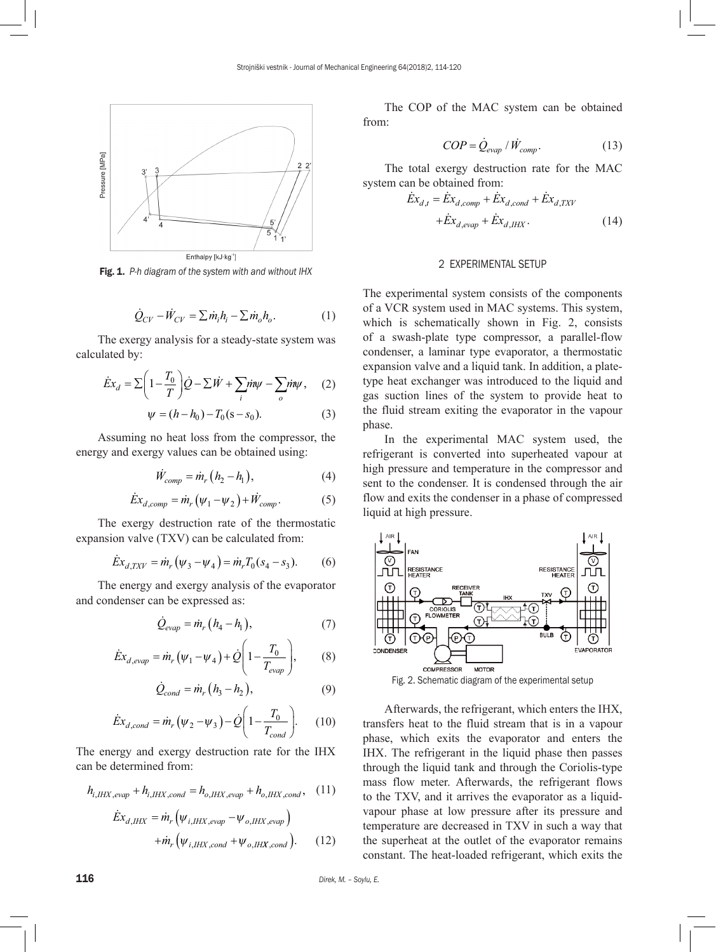

Fig. 1. *P-h diagram of the system with and without IHX*

$$
\dot{Q}_{CV} - \dot{W}_{CV} = \sum \dot{m}_i h_i - \sum \dot{m}_o h_o.
$$
 (1)

The exergy analysis for a steady-state system was calculated by:

$$
\dot{E}x_d = \sum \left(1 - \frac{T_0}{T}\right)\dot{Q} - \sum \dot{W} + \sum_i \dot{m}\psi - \sum_o \dot{m}\psi, \quad (2)
$$

$$
\psi = (h - h_0) - T_0(\mathbf{s} - \mathbf{s}_0). \tag{3}
$$

Assuming no heat loss from the compressor, the energy and exergy values can be obtained using:

$$
\dot{W}_{comp} = \dot{m}_r \left( h_2 - h_1 \right),\tag{4}
$$

$$
\dot{E}x_{d,comp} = \dot{m}_r \left(\psi_1 - \psi_2\right) + \dot{W}_{comp}.
$$
 (5)

The exergy destruction rate of the thermostatic expansion valve (TXV) can be calculated from:

$$
\dot{E}x_{d,TXY} = \dot{m}_r \left(\psi_3 - \psi_4\right) = \dot{m}_r T_0 (s_4 - s_3). \tag{6}
$$

The energy and exergy analysis of the evaporator and condenser can be expressed as:

$$
\dot{Q}_{evap} = \dot{m}_r (h_4 - h_1), \qquad (7)
$$

$$
\dot{E}x_{d,evap} = \dot{m}_r (\psi_1 - \psi_4) + \dot{Q} \left( 1 - \frac{T_0}{T_{evap}} \right),
$$
 (8)

$$
\dot{Q}_{cond} = \dot{m}_r (h_3 - h_2), \qquad (9)
$$

$$
\dot{E}x_{d,cond} = \dot{m}_r \left(\psi_2 - \psi_3\right) - \dot{Q} \left(1 - \frac{T_0}{T_{cond}}\right). \tag{10}
$$

The energy and exergy destruction rate for the IHX can be determined from:

$$
h_{i,HHX,evap} + h_{i,HHX,cond} = h_{o,HHX,evap} + h_{o,HHX,cond}, \quad (11)
$$

$$
\dot{E}x_{d,HHX} = \dot{m}_r \left( \psi_{i,HHX,evap} - \psi_{o,HHX,evap} \right) \n+ \dot{m}_r \left( \psi_{i,HHX,cond} + \psi_{o,HHX,cond} \right).
$$
\n(12)

The COP of the MAC system can be obtained from:

$$
COP = \dot{Q}_{evap} / \dot{W}_{comp}.
$$
 (13)

The total exergy destruction rate for the MAC system can be obtained from:

$$
\dot{E}x_{d,t} = \dot{E}x_{d,comp} + \dot{E}x_{d,cond} + \dot{E}x_{d,TXY} \n+ \dot{E}x_{d,evap} + \dot{E}x_{d,HHX}.
$$
\n(14)

#### 2 EXPERIMENTAL SETUP

The experimental system consists of the components of a VCR system used in MAC systems. This system, which is schematically shown in Fig. 2, consists of a swash-plate type compressor, a parallel-flow condenser, a laminar type evaporator, a thermostatic expansion valve and a liquid tank. In addition, a platetype heat exchanger was introduced to the liquid and gas suction lines of the system to provide heat to the fluid stream exiting the evaporator in the vapour phase.

In the experimental MAC system used, the refrigerant is converted into superheated vapour at high pressure and temperature in the compressor and sent to the condenser. It is condensed through the air flow and exits the condenser in a phase of compressed liquid at high pressure.



Fig. 2. Schematic diagram of the experimental setup

Afterwards, the refrigerant, which enters the IHX, transfers heat to the fluid stream that is in a vapour phase, which exits the evaporator and enters the IHX. The refrigerant in the liquid phase then passes through the liquid tank and through the Coriolis-type mass flow meter. Afterwards, the refrigerant flows to the TXV, and it arrives the evaporator as a liquidvapour phase at low pressure after its pressure and temperature are decreased in TXV in such a way that the superheat at the outlet of the evaporator remains constant. The heat-loaded refrigerant, which exits the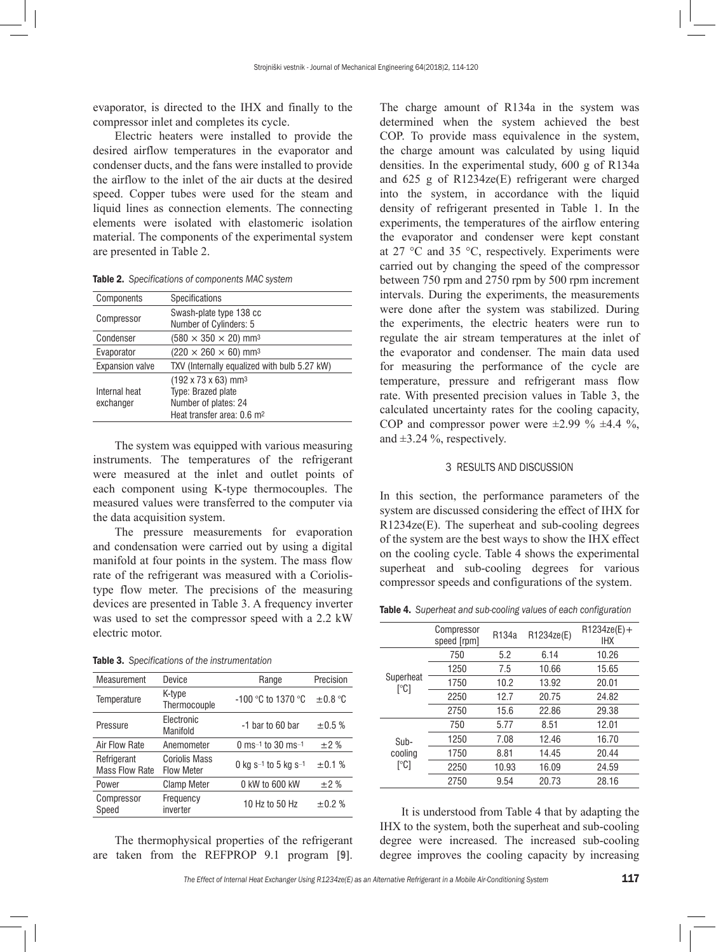evaporator, is directed to the IHX and finally to the compressor inlet and completes its cycle.

Electric heaters were installed to provide the desired airflow temperatures in the evaporator and condenser ducts, and the fans were installed to provide the airflow to the inlet of the air ducts at the desired speed. Copper tubes were used for the steam and liquid lines as connection elements. The connecting elements were isolated with elastomeric isolation material. The components of the experimental system are presented in Table 2.

Table 2. *Specifications of components MAC system*

| Components                 | <b>Specifications</b>                                                                                                               |  |
|----------------------------|-------------------------------------------------------------------------------------------------------------------------------------|--|
| Compressor                 | Swash-plate type 138 cc<br>Number of Cylinders: 5                                                                                   |  |
| Condenser                  | $(580 \times 350 \times 20)$ mm <sup>3</sup>                                                                                        |  |
| Evaporator                 | $(220 \times 260 \times 60)$ mm <sup>3</sup>                                                                                        |  |
| <b>Expansion valve</b>     | TXV (Internally equalized with bulb 5.27 kW)                                                                                        |  |
| Internal heat<br>exchanger | $(192 \times 73 \times 63)$ mm <sup>3</sup><br>Type: Brazed plate<br>Number of plates: 24<br>Heat transfer area: 0.6 m <sup>2</sup> |  |

The system was equipped with various measuring instruments. The temperatures of the refrigerant were measured at the inlet and outlet points of each component using K-type thermocouples. The measured values were transferred to the computer via the data acquisition system.

The pressure measurements for evaporation and condensation were carried out by using a digital manifold at four points in the system. The mass flow rate of the refrigerant was measured with a Coriolistype flow meter. The precisions of the measuring devices are presented in Table 3. A [frequency inverter](http://tureng.com/en/turkish-english/frequency%20convertor)  was used to set the compressor speed with a 2.2 kW electric motor.

|  | <b>Table 3.</b> Specifications of the instrumentation |  |  |  |
|--|-------------------------------------------------------|--|--|--|
|--|-------------------------------------------------------|--|--|--|

| Measurement                          | Device                                    | Range                | Precision    |
|--------------------------------------|-------------------------------------------|----------------------|--------------|
| Temperature                          | K-type<br>Thermocouple                    | $-100$ °C to 1370 °C | $\pm 0.8$ °C |
| Pressure                             | Electronic<br>Manifold                    | -1 bar to 60 bar     | $\pm 0.5 \%$ |
| Air Flow Rate                        | Anemometer                                | 0 ms-1 to 30 ms-1    | $\pm 2\%$    |
| Refrigerant<br><b>Mass Flow Rate</b> | <b>Coriolis Mass</b><br><b>Flow Meter</b> | 0 kg s-1 to 5 kg s-1 | ±0.1%        |
| Power                                | <b>Clamp Meter</b>                        | 0 kW to 600 kW       | $\pm 2\%$    |
| Compressor<br>Speed                  | Frequency<br>inverter                     | 10 Hz to 50 Hz       | ±0.2%        |

The thermophysical properties of the refrigerant are taken from the REFPROP 9.1 program [9].

The charge amount of R134a in the system was determined when the system achieved the best COP. To provide mass equivalence in the system, the charge amount was calculated by using liquid densities. In the experimental study, 600 g of R134a and 625 g of R1234ze(E) refrigerant were charged into the system, in accordance with the liquid density of refrigerant presented in Table 1. In the experiments, the temperatures of the airflow entering the evaporator and condenser were kept constant at 27 °C and 35 °C, respectively. Experiments were carried out by changing the speed of the compressor between 750 rpm and 2750 rpm by 500 rpm increment intervals. During the experiments, the measurements were done after the system was stabilized. During the experiments, the electric heaters were run to regulate the air stream temperatures at the inlet of the evaporator and condenser. The main data used for measuring the performance of the cycle are temperature, pressure and refrigerant mass flow rate. With presented precision values in Table 3, the calculated uncertainty rates for the cooling capacity, COP and compressor power were  $\pm 2.99 \% \pm 4.4 \%$ , and  $\pm 3.24$  %, respectively.

#### 3 RESULTS AND DISCUSSION

In this section, the performance parameters of the system are discussed considering the effect of IHX for R1234ze(E). The superheat and sub-cooling degrees of the system are the best ways to show the IHX effect on the cooling cycle. Table 4 shows the experimental superheat and sub-cooling degrees for various compressor speeds and configurations of the system.

Table 4. *Superheat and sub-cooling values of each configuration*

|                                      | Compressor<br>speed [rpm] | R134a | R1234ze(E) | $R1234ze(E) +$<br><b>IHX</b> |
|--------------------------------------|---------------------------|-------|------------|------------------------------|
| Superheat<br>$\lceil{^\circ}C\rceil$ | 750                       | 5.2   | 6.14       | 10.26                        |
|                                      | 1250                      | 7.5   | 10.66      | 15.65                        |
|                                      | 1750                      | 10.2  | 13.92      | 20.01                        |
|                                      | 2250                      | 12.7  | 20.75      | 24.82                        |
|                                      | 2750                      | 15.6  | 22.86      | 29.38                        |
|                                      | 750                       | 5.77  | 8.51       | 12.01                        |
| Sub-                                 | 1250                      | 7.08  | 12.46      | 16.70                        |
| cooling<br>[°C]                      | 1750                      | 8.81  | 14.45      | 20.44                        |
|                                      | 2250                      | 10.93 | 16.09      | 24.59                        |
|                                      | 2750                      | 9.54  | 20.73      | 28.16                        |

It is understood from Table 4 that by adapting the IHX to the system, both the superheat and sub-cooling degree were increased. The increased sub-cooling degree improves the cooling capacity by increasing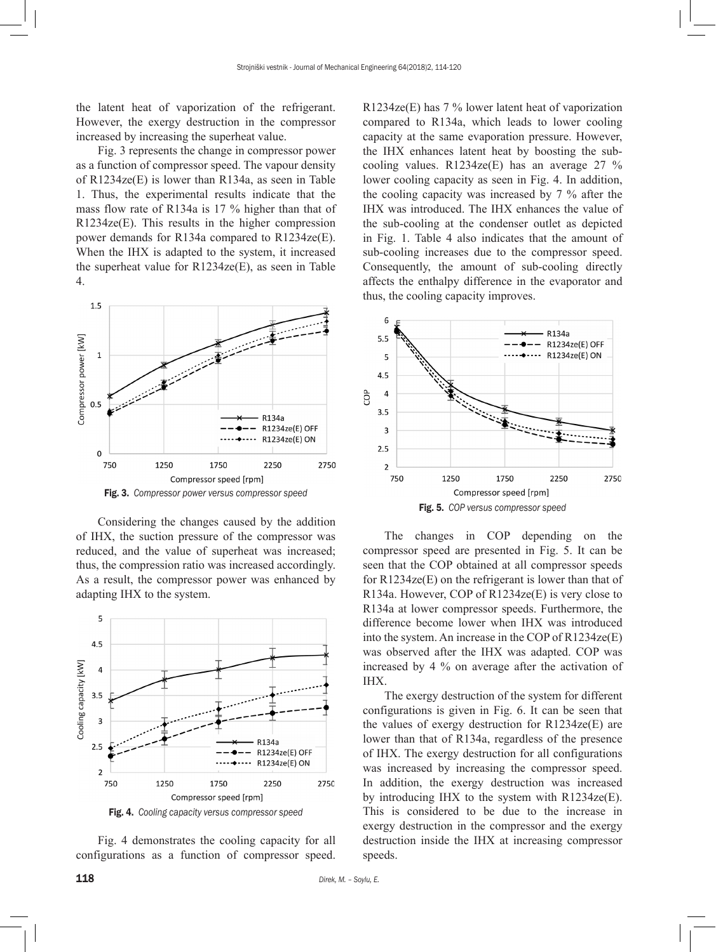the latent heat of vaporization of the refrigerant. However, the exergy destruction in the compressor increased by increasing the superheat value.

Fig. 3 represents the change in compressor power as a function of compressor speed. The vapour density of R1234ze(E) is lower than R134a, as seen in Table 1. Thus, the experimental results indicate that the mass flow rate of R134a is 17 % higher than that of R1234ze(E). This results in the higher compression power demands for R134a compared to R1234ze(E). When the IHX is adapted to the system, it increased the superheat value for R1234ze(E), as seen in Table 4.



Fig. 3. *Compressor power versus compressor speed*

Considering the changes caused by the addition of IHX, the suction pressure of the compressor was reduced, and the value of superheat was increased; thus, the compression ratio was increased accordingly. As a result, the compressor power was enhanced by adapting IHX to the system.



Fig. 4. *Cooling capacity versus compressor speed*

Fig. 4 demonstrates the cooling capacity for all configurations as a function of compressor speed.

R1234ze(E) has 7 % lower latent heat of vaporization compared to R134a, which leads to lower cooling capacity at the same evaporation pressure. However, the IHX enhances latent heat by boosting the subcooling values.  $R1234ze(E)$  has an average 27 % lower cooling capacity as seen in Fig. 4. In addition, the cooling capacity was increased by 7 % after the IHX was introduced. The IHX enhances the value of the sub-cooling at the condenser outlet as depicted in Fig. 1. Table 4 also indicates that the amount of sub-cooling increases due to the compressor speed. Consequently, the amount of sub-cooling directly affects the enthalpy difference in the evaporator and thus, the cooling capacity improves.



The changes in COP depending on the compressor speed are presented in Fig. 5. It can be seen that the COP obtained at all compressor speeds for R1234ze(E) on the refrigerant is lower than that of R134a. However, COP of R1234ze(E) is very close to R134a at lower compressor speeds. Furthermore, the difference become lower when IHX was introduced into the system. An increase in the COP of R1234ze(E) was observed after the IHX was adapted. COP was increased by 4 % on average after the activation of IHX.

The exergy destruction of the system for different configurations is given in Fig. 6. It can be seen that the values of exergy destruction for R1234ze(E) are lower than that of R134a, regardless of the presence of IHX. The exergy destruction for all configurations was increased by increasing the compressor speed. In addition, the exergy destruction was increased by introducing IHX to the system with R1234ze(E). This is considered to be due to the increase in exergy destruction in the compressor and the exergy destruction inside the IHX at increasing compressor speeds.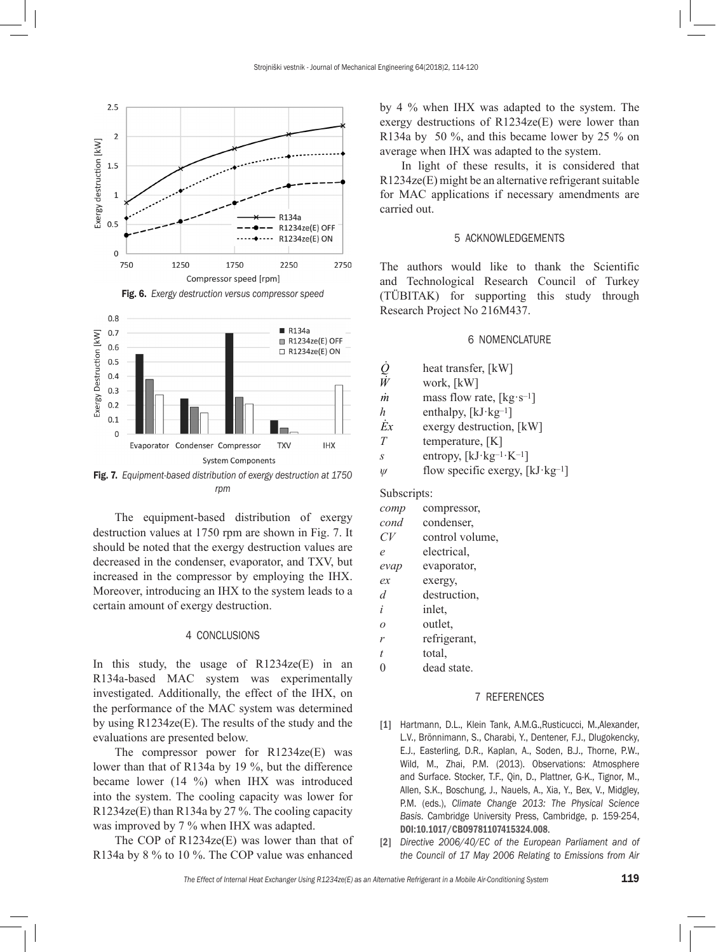

Fig. 7. *Equipment-based distribution of exergy destruction at 1750 rpm*

The equipment-based distribution of exergy destruction values at 1750 rpm are shown in Fig. 7. It should be noted that the exergy destruction values are decreased in the condenser, evaporator, and TXV, but increased in the compressor by employing the IHX. Moreover, introducing an IHX to the system leads to a certain amount of exergy destruction.

# 4 CONCLUSIONS

In this study, the usage of  $R1234ze(E)$  in an R134a-based MAC system was experimentally investigated. Additionally, the effect of the IHX, on the performance of the MAC system was determined by using R1234ze(E). The results of the study and the evaluations are presented below.

The compressor power for R1234ze(E) was lower than that of R134a by 19 %, but the difference became lower (14 %) when IHX was introduced into the system. The cooling capacity was lower for R1234ze(E) than R134a by 27 %. The cooling capacity was improved by 7 % when IHX was adapted.

The COP of R1234ze(E) was lower than that of R134a by 8 % to 10 %. The COP value was enhanced

by 4 % when IHX was adapted to the system. The exergy destructions of R1234ze(E) were lower than R134a by 50 %, and this became lower by 25 % on average when IHX was adapted to the system.

In light of these results, it is considered that R1234ze(E) might be an alternative refrigerant suitable for MAC applications if necessary amendments are carried out.

#### 5 ACKNOWLEDGEMENTS

The authors would like to thank the [Scientific](https://www.tubitak.gov.tr/en) [and Technological Research Council of Turkey](https://www.tubitak.gov.tr/en) (TÜBITAK) for supporting this study through Research Project No 216M437.

#### 6 NOMENCLATURE

- $\dot{Q}$  heat transfer, [kW]
- *work,* [kW]
- $\dot{m}$  mass flow rate, [kg·s<sup>-1</sup>]
- *h* enthalpy,  $[kJ \cdot kg^{-1}]$
- $\dot{E}x$  exergy destruction, [kW]
- *T* temperature, [K]
- *s* entropy, [kJ·kg–1·K–1]
- $\psi$  flow specific exergy, [kJ·kg<sup>-1</sup>]

Subscripts:

| comp | compressor,     |
|------|-----------------|
| cond | condenser.      |
| CV   | control volume, |
| e    | electrical.     |

*evap* evaporator,

- *ex* exergy,
- *d* destruction,
- *i* inlet,
- *o* outlet,
- *r* refrigerant,
- *t* total,
- 0 dead state.

### 7 REFERENCES

- [1] Hartmann, D.L., Klein Tank, A.M.G.,Rusticucci, M.,Alexander, L.V., Brönnimann, S., Charabi, Y., Dentener, F.J., Dlugokencky, E.J., Easterling, D.R., Kaplan, A., Soden, B.J., Thorne, P.W., Wild, M., Zhai, P.M. (2013). Observations: Atmosphere and Surface. Stocker, T.F., Qin, D., Plattner, G-K., Tignor, M., Allen, S.K., Boschung, J., Nauels, A., Xia, Y., Bex, V., Midgley, P.M. (eds.), *Climate Change 2013: The Physical Science Basis*. Cambridge University Press, Cambridge, p. 159-254, [DOI:10.1017/CBO9781107415324.008](https://doi.org/10.1017/CBO9781107415324.008).
- [2] *Directive 2006/40/EC of the European Parliament and of the Council of 17 May 2006 Relating to Emissions from Air*